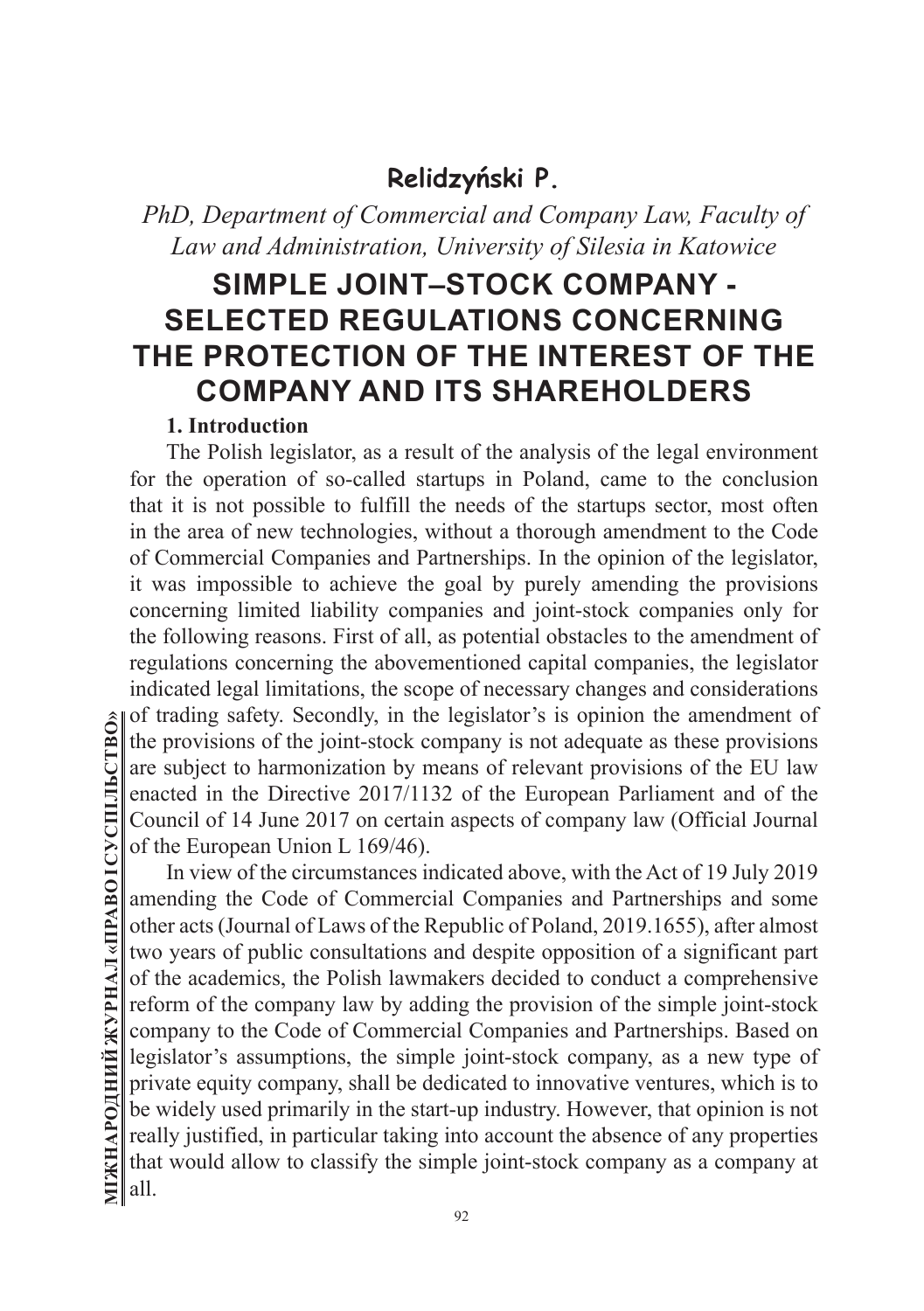# **Relidzyński P.**

# *PhD, Department of Commercial and Company Law, Faculty of Law and Administration, University of Silesia in Katowice*

# **SIMPLE JOINT–STOCK COMPANY - SELECTED REGULATIONS CONCERNING THE PROTECTION OF THE INTEREST OF THE COMPANY AND ITS SHAREHOLDERS**

#### **1. Introduction**

The Polish legislator, as a result of the analysis of the legal environment for the operation of so-called startups in Poland, came to the conclusion that it is not possible to fulfill the needs of the startups sector, most often in the area of new technologies, without a thorough amendment to the Code of Commercial Companies and Partnerships. In the opinion of the legislator, it was impossible to achieve the goal by purely amending the provisions concerning limited liability companies and joint-stock companies only for the following reasons. First of all, as potential obstacles to the amendment of regulations concerning the abovementioned capital companies, the legislator indicated legal limitations, the scope of necessary changes and considerations of trading safety. Secondly, in the legislator's is opinion the amendment of the provisions of the joint-stock company is not adequate as these provisions are subject to harmonization by means of relevant provisions of the EU law enacted in the Directive 2017/1132 of the European Parliament and of the Council of 14 June 2017 on certain aspects of company law (Official Journal of the European Union L 169/46).

In view of the circumstances indicated above, with the Act of 19 July 2019 amending the Code of Commercial Companies and Partnerships and some other acts (Journal of Laws of the Republic of Poland, 2019.1655), after almost two years of public consultations and despite opposition of a significant part of the academics, the Polish lawmakers decided to conduct a comprehensive reform of the company law by adding the provision of the simple joint-stock company to the Code of Commercial Companies and Partnerships. Based on legislator's assumptions, the simple joint-stock company, as a new type of private equity company, shall be dedicated to innovative ventures, which is to be widely used primarily in the start-up industry. However, that opinion is not really justified, in particular taking into account the absence of any properties that would allow to classify the simple joint-stock company as a company at all.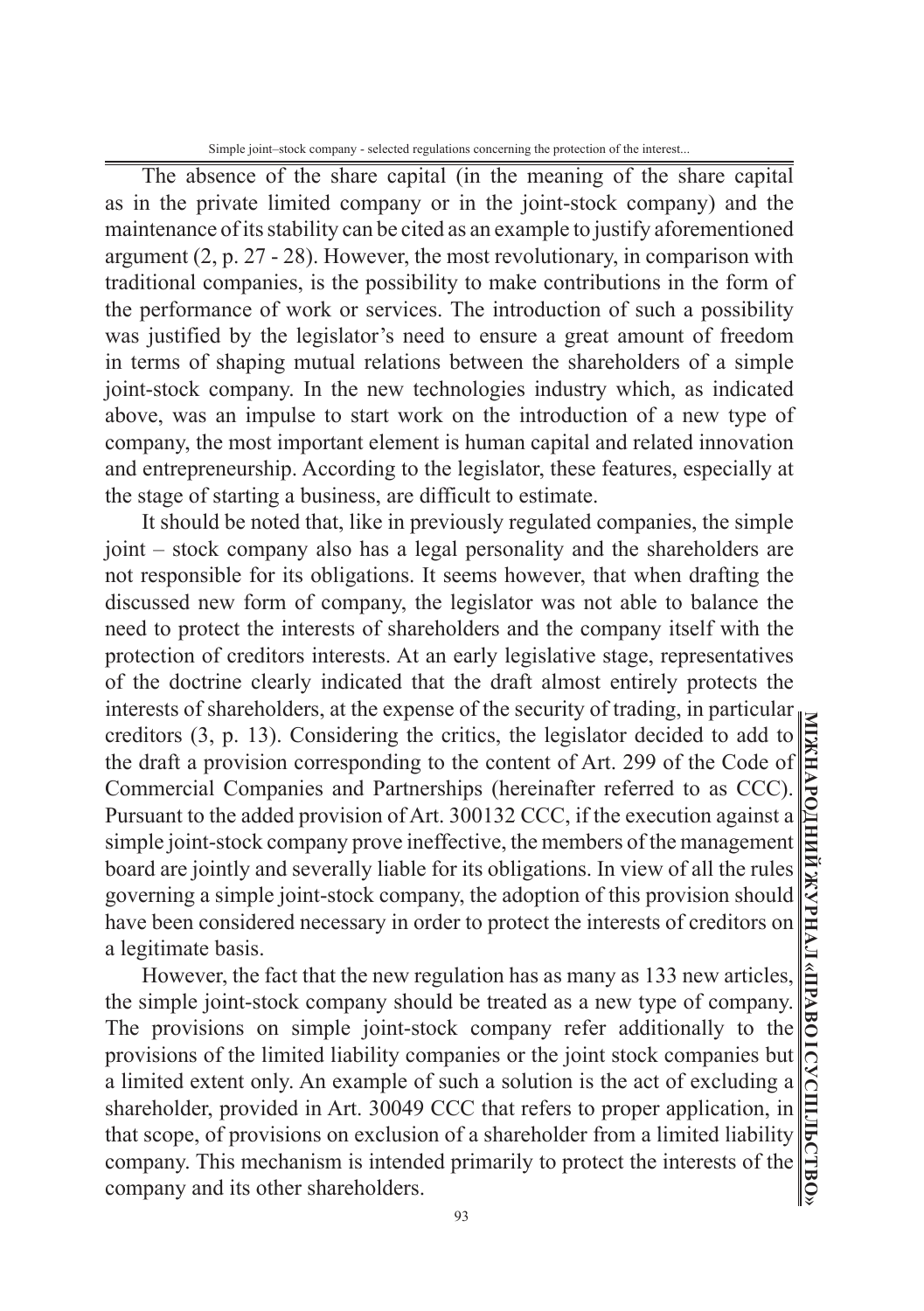Simple joint–stock company - selected regulations concerning the protection of the interest...

The absence of the share capital (in the meaning of the share capital as in the private limited company or in the joint-stock company) and the maintenance of its stability can be cited as an example to justify aforementioned argument (2, p. 27 - 28). However, the most revolutionary, in comparison with traditional companies, is the possibility to make contributions in the form of the performance of work or services. The introduction of such a possibility was justified by the legislator's need to ensure a great amount of freedom in terms of shaping mutual relations between the shareholders of a simple joint-stock company. In the new technologies industry which, as indicated above, was an impulse to start work on the introduction of a new type of company, the most important element is human capital and related innovation and entrepreneurship. According to the legislator, these features, especially at the stage of starting a business, are difficult to estimate.

It should be noted that, like in previously regulated companies, the simple joint – stock company also has a legal personality and the shareholders are not responsible for its obligations. It seems however, that when drafting the discussed new form of company, the legislator was not able to balance the need to protect the interests of shareholders and the company itself with the protection of creditors interests. At an early legislative stage, representatives of the doctrine clearly indicated that the draft almost entirely protects the interests of shareholders, at the expense of the security of trading, in particular creditors (3, p. 13). Considering the critics, the legislator decided to add to the draft a provision corresponding to the content of Art. 299 of the Code of Commercial Companies and Partnerships (hereinafter referred to as CCC). Pursuant to the added provision of Art. 300132 CCC, if the execution against a simple joint-stock company prove ineffective, the members of the management board are jointly and severally liable for its obligations. In view of all the rules governing a simple joint-stock company, the adoption of this provision should have been considered necessary in order to protect the interests of creditors on a legitimate basis.

However, the fact that the new regulation has as many as 133 new articles, the simple joint-stock company should be treated as a new type of company. The provisions on simple joint-stock company refer additionally to the provisions of the limited liability companies or the joint stock companies but a limited extent only. An example of such a solution is the act of excluding a shareholder, provided in Art. 30049 CCC that refers to proper application, in that scope, of provisions on exclusion of a shareholder from a limited liability company. This mechanism is intended primarily to protect the interests of the company and its other shareholders.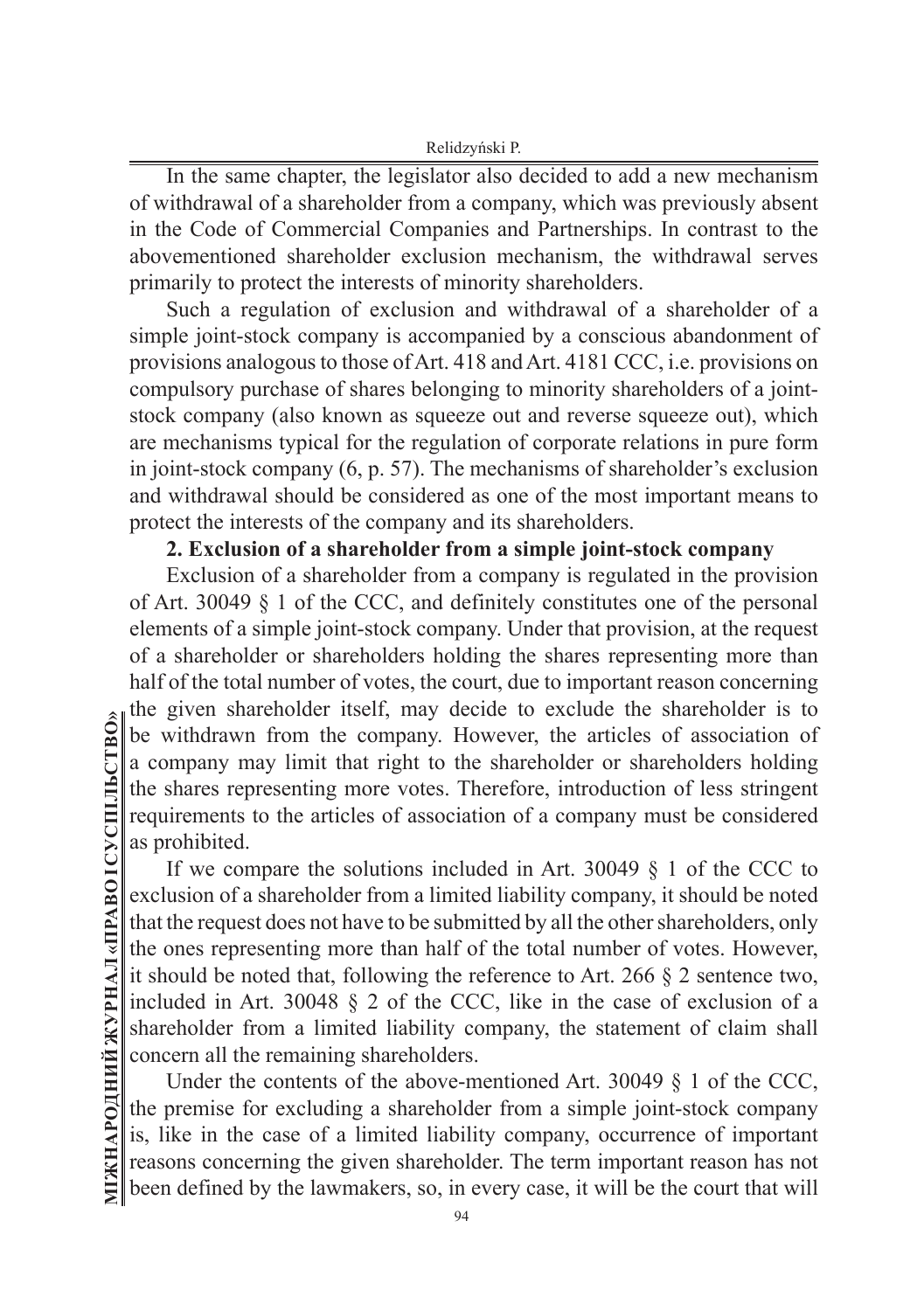Relidzyński P.

In the same chapter, the legislator also decided to add a new mechanism of withdrawal of a shareholder from a company, which was previously absent in the Code of Commercial Companies and Partnerships. In contrast to the abovementioned shareholder exclusion mechanism, the withdrawal serves primarily to protect the interests of minority shareholders.

Such a regulation of exclusion and withdrawal of a shareholder of a simple joint-stock company is accompanied by a conscious abandonment of provisions analogous to those of Art. 418 and Art. 4181 CCC, i.e. provisions on compulsory purchase of shares belonging to minority shareholders of a jointstock company (also known as squeeze out and reverse squeeze out), which are mechanisms typical for the regulation of corporate relations in pure form in joint-stock company (6, p. 57). The mechanisms of shareholder's exclusion and withdrawal should be considered as one of the most important means to protect the interests of the company and its shareholders.

## **2. Exclusion of a shareholder from a simple joint-stock company**

Exclusion of a shareholder from a company is regulated in the provision of Art. 30049 § 1 of the CCC, and definitely constitutes one of the personal elements of a simple joint-stock company. Under that provision, at the request of a shareholder or shareholders holding the shares representing more than half of the total number of votes, the court, due to important reason concerning the given shareholder itself, may decide to exclude the shareholder is to be withdrawn from the company. However, the articles of association of a company may limit that right to the shareholder or shareholders holding the shares representing more votes. Therefore, introduction of less stringent requirements to the articles of association of a company must be considered as prohibited.

If we compare the solutions included in Art. 30049 § 1 of the CCC to exclusion of a shareholder from a limited liability company, it should be noted that the request does not have to be submitted by all the other shareholders, only the ones representing more than half of the total number of votes. However, it should be noted that, following the reference to Art. 266 § 2 sentence two, included in Art. 30048 § 2 of the CCC, like in the case of exclusion of a shareholder from a limited liability company, the statement of claim shall concern all the remaining shareholders.

Under the contents of the above-mentioned Art. 30049  $\S$  1 of the CCC, the premise for excluding a shareholder from a simple joint-stock company is, like in the case of a limited liability company, occurrence of important reasons concerning the given shareholder. The term important reason has not been defined by the lawmakers, so, in every case, it will be the court that will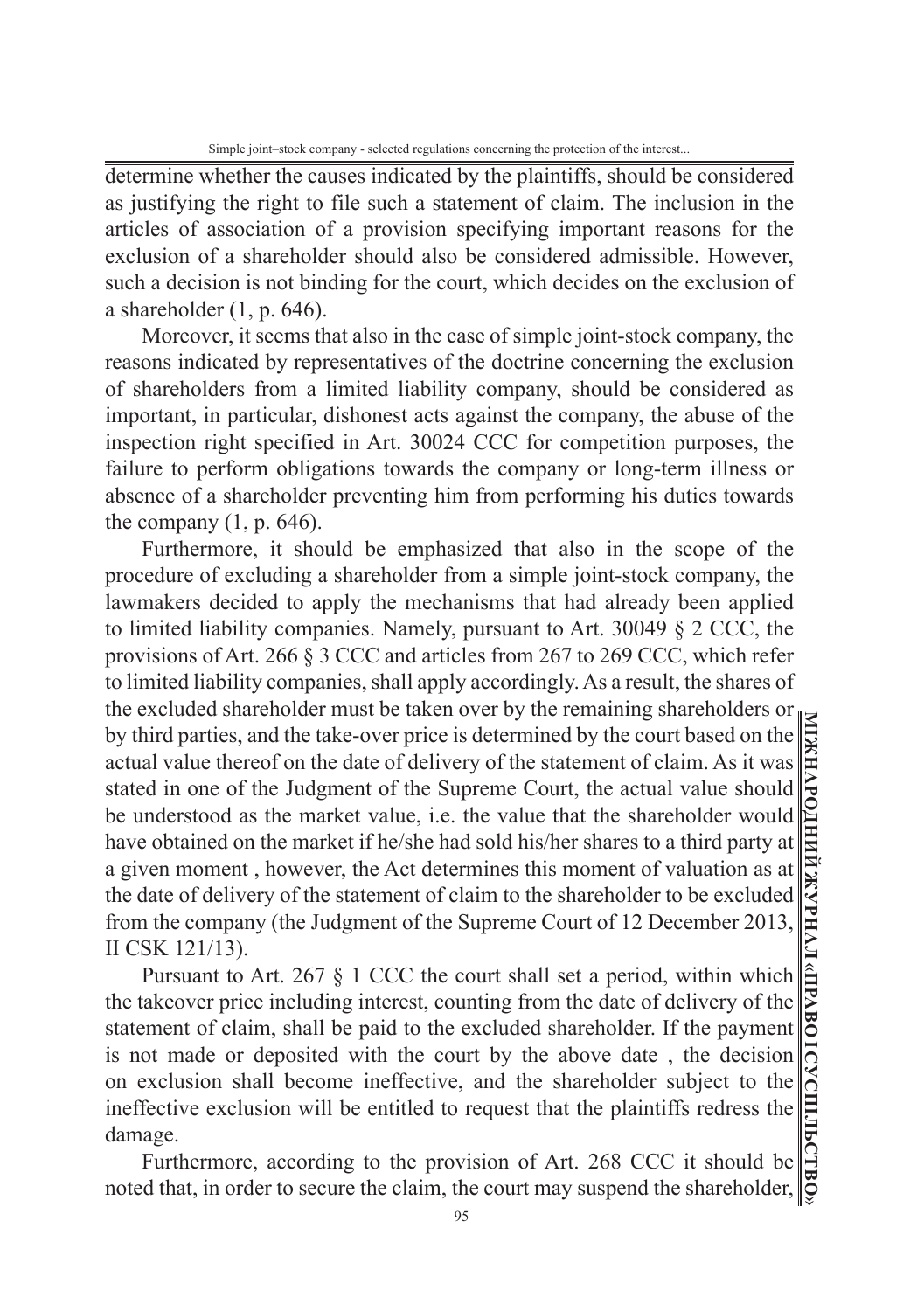determine whether the causes indicated by the plaintiffs, should be considered as justifying the right to file such a statement of claim. The inclusion in the articles of association of a provision specifying important reasons for the exclusion of a shareholder should also be considered admissible. However, such a decision is not binding for the court, which decides on the exclusion of a shareholder  $(1, p. 646)$ .

Moreover, it seems that also in the case of simple joint-stock company, the reasons indicated by representatives of the doctrine concerning the exclusion of shareholders from a limited liability company, should be considered as important, in particular, dishonest acts against the company, the abuse of the inspection right specified in Art. 30024 CCC for competition purposes, the failure to perform obligations towards the company or long-term illness or absence of a shareholder preventing him from performing his duties towards the company  $(1, p. 646)$ .

Furthermore, it should be emphasized that also in the scope of the procedure of excluding a shareholder from a simple joint-stock company, the lawmakers decided to apply the mechanisms that had already been applied to limited liability companies. Namely, pursuant to Art. 30049 § 2 CCC, the provisions of Art. 266 § 3 CCC and articles from 267 to 269 CCC, which refer to limited liability companies, shall apply accordingly. As a result, the shares of the excluded shareholder must be taken over by the remaining shareholders or by third parties, and the take-over price is determined by the court based on the actual value thereof on the date of delivery of the statement of claim. As it was stated in one of the Judgment of the Supreme Court, the actual value should be understood as the market value, i.e. the value that the shareholder would have obtained on the market if he/she had sold his/her shares to a third party at a given moment , however, the Act determines this moment of valuation as at the date of delivery of the statement of claim to the shareholder to be excluded from the company (the Judgment of the Supreme Court of 12 December 2013, II CSK 121/13).

Pursuant to Art. 267 § 1 CCC the court shall set a period, within which the takeover price including interest, counting from the date of delivery of the statement of claim, shall be paid to the excluded shareholder. If the payment is not made or deposited with the court by the above date , the decision on exclusion shall become ineffective, and the shareholder subject to the ineffective exclusion will be entitled to request that the plaintiffs redress the damage.

Furthermore, according to the provision of Art. 268 CCC it should be noted that, in order to secure the claim, the court may suspend the shareholder,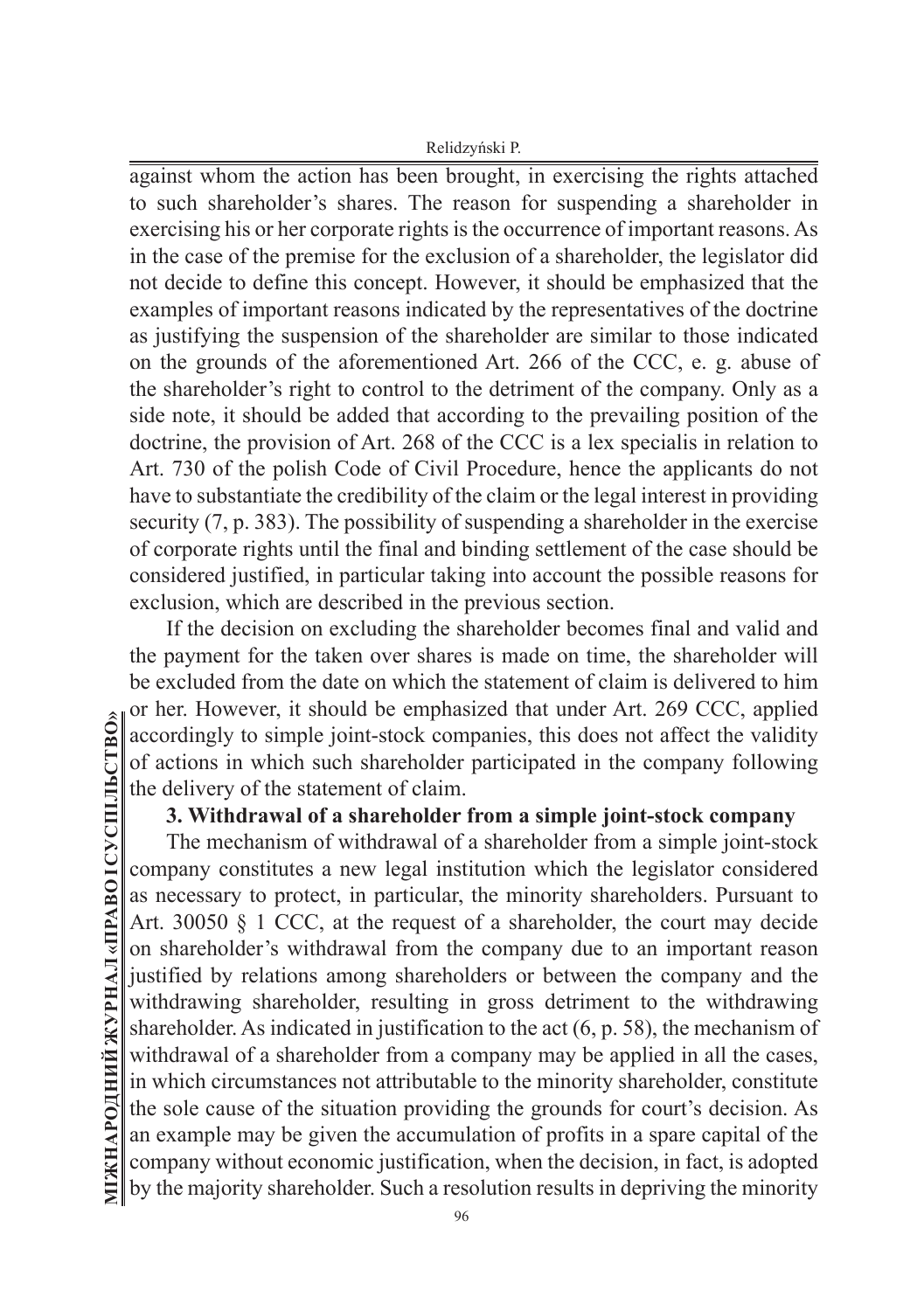Relidzyński P.

against whom the action has been brought, in exercising the rights attached to such shareholder's shares. The reason for suspending a shareholder in exercising his or her corporate rights is the occurrence of important reasons. As in the case of the premise for the exclusion of a shareholder, the legislator did not decide to define this concept. However, it should be emphasized that the examples of important reasons indicated by the representatives of the doctrine as justifying the suspension of the shareholder are similar to those indicated on the grounds of the aforementioned Art. 266 of the CCC, e. g. abuse of the shareholder's right to control to the detriment of the company. Only as a side note, it should be added that according to the prevailing position of the doctrine, the provision of Art. 268 of the CCC is a lex specialis in relation to Art. 730 of the polish Code of Civil Procedure, hence the applicants do not have to substantiate the credibility of the claim or the legal interest in providing security (7, p. 383). The possibility of suspending a shareholder in the exercise of corporate rights until the final and binding settlement of the case should be considered justified, in particular taking into account the possible reasons for exclusion, which are described in the previous section.

If the decision on excluding the shareholder becomes final and valid and the payment for the taken over shares is made on time, the shareholder will be excluded from the date on which the statement of claim is delivered to him or her. However, it should be emphasized that under Art. 269 CCC, applied accordingly to simple joint-stock companies, this does not affect the validity of actions in which such shareholder participated in the company following the delivery of the statement of claim.

## **3. Withdrawal of a shareholder from a simple joint-stock company**

The mechanism of withdrawal of a shareholder from a simple joint-stock company constitutes a new legal institution which the legislator considered as necessary to protect, in particular, the minority shareholders. Pursuant to Art. 30050 § 1 CCC, at the request of a shareholder, the court may decide on shareholder's withdrawal from the company due to an important reason justified by relations among shareholders or between the company and the withdrawing shareholder, resulting in gross detriment to the withdrawing shareholder. As indicated in justification to the act (6, p. 58), the mechanism of withdrawal of a shareholder from a company may be applied in all the cases, in which circumstances not attributable to the minority shareholder, constitute the sole cause of the situation providing the grounds for court's decision. As an example may be given the accumulation of profits in a spare capital of the company without economic justification, when the decision, in fact, is adopted by the majority shareholder. Such a resolution results in depriving the minority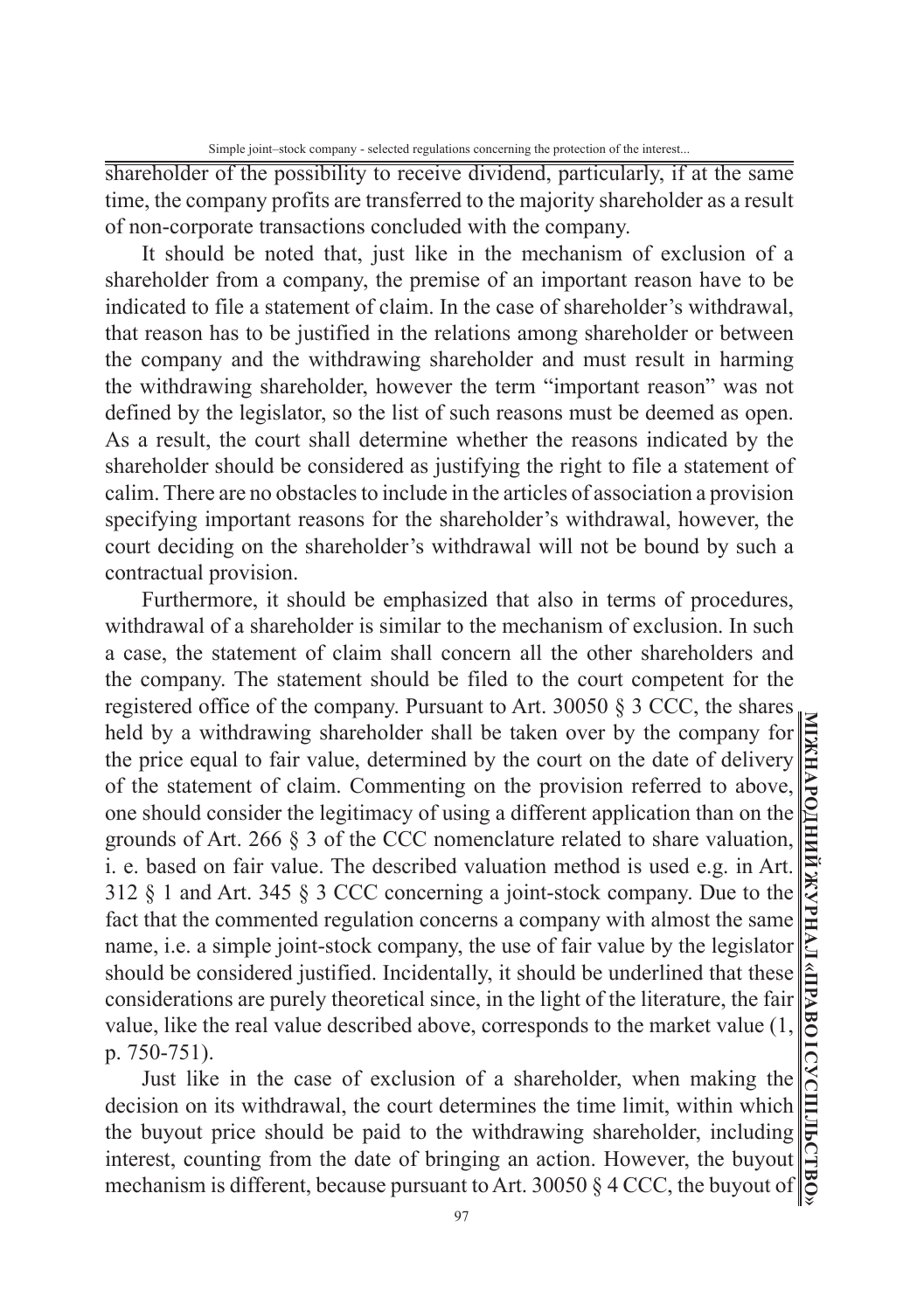shareholder of the possibility to receive dividend, particularly, if at the same time, the company profits are transferred to the majority shareholder as a result of non-corporate transactions concluded with the company.

It should be noted that, just like in the mechanism of exclusion of a shareholder from a company, the premise of an important reason have to be indicated to file a statement of claim. In the case of shareholder's withdrawal, that reason has to be justified in the relations among shareholder or between the company and the withdrawing shareholder and must result in harming the withdrawing shareholder, however the term "important reason" was not defined by the legislator, so the list of such reasons must be deemed as open. As a result, the court shall determine whether the reasons indicated by the shareholder should be considered as justifying the right to file a statement of calim. There are no obstacles to include in the articles of association a provision specifying important reasons for the shareholder's withdrawal, however, the court deciding on the shareholder's withdrawal will not be bound by such a contractual provision.

Furthermore, it should be emphasized that also in terms of procedures, withdrawal of a shareholder is similar to the mechanism of exclusion. In such a case, the statement of claim shall concern all the other shareholders and the company. The statement should be filed to the court competent for the registered office of the company. Pursuant to Art. 30050  $\S 3$  CCC, the shares held by a withdrawing shareholder shall be taken over by the company for the price equal to fair value, determined by the court on the date of delivery of the statement of claim. Commenting on the provision referred to above, one should consider the legitimacy of using a different application than on the grounds of Art. 266 § 3 of the CCC nomenclature related to share valuation, i. e. based on fair value. The described valuation method is used e.g. in Art. 312 § 1 and Art. 345 § 3 CCC concerning a joint-stock company. Due to the fact that the commented regulation concerns a company with almost the same name, i.e. a simple joint-stock company, the use of fair value by the legislator should be considered justified. Incidentally, it should be underlined that these considerations are purely theoretical since, in the light of the literature, the fair value, like the real value described above, corresponds to the market value (1, p. 750-751).

Just like in the case of exclusion of a shareholder, when making the decision on its withdrawal, the court determines the time limit, within which the buyout price should be paid to the withdrawing shareholder, including interest, counting from the date of bringing an action. However, the buyout mechanism is different, because pursuant to Art. 30050 § 4 CCC, the buyout of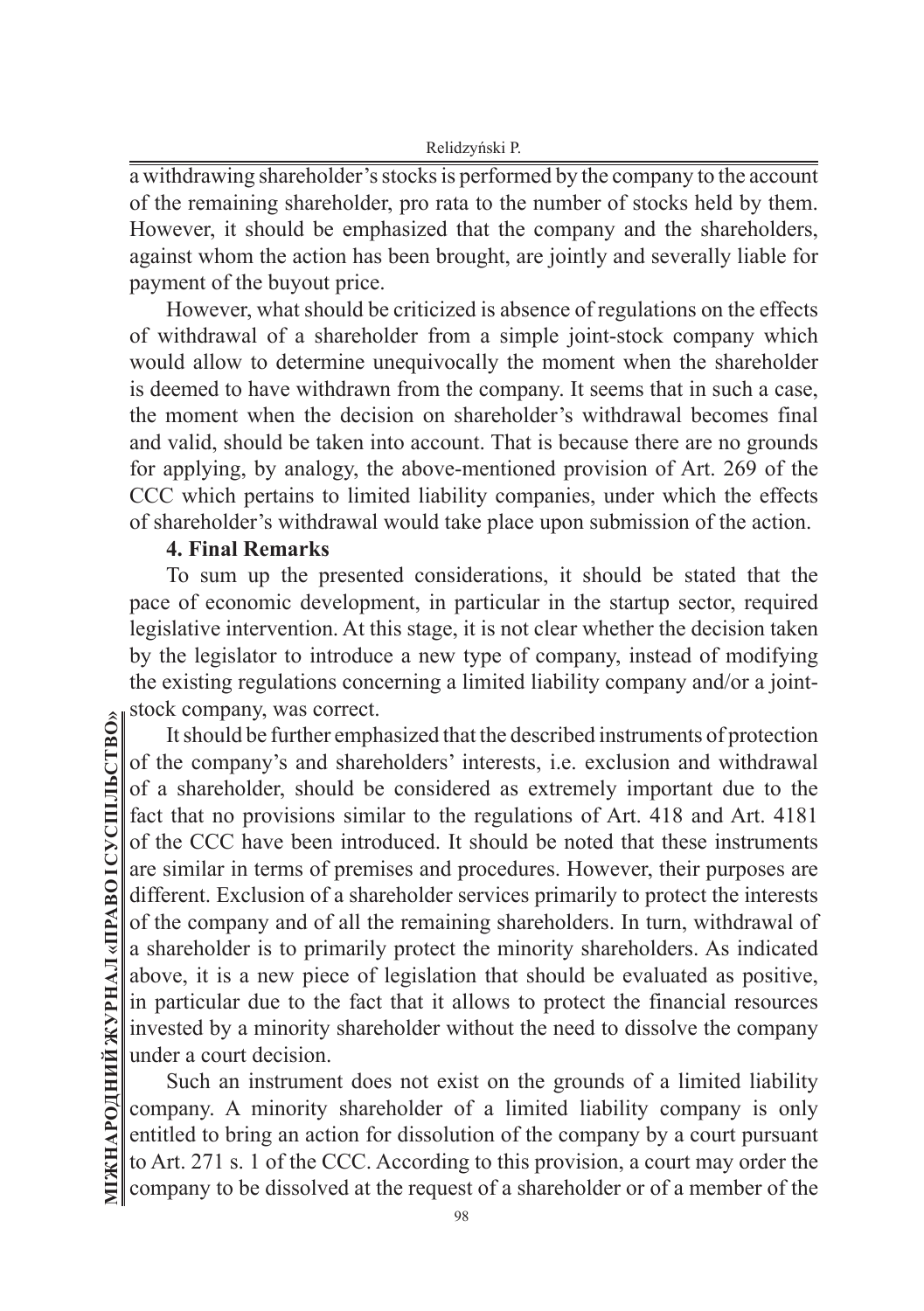a withdrawing shareholder's stocks is performed by the company to the account of the remaining shareholder, pro rata to the number of stocks held by them. However, it should be emphasized that the company and the shareholders, against whom the action has been brought, are jointly and severally liable for payment of the buyout price.

However, what should be criticized is absence of regulations on the effects of withdrawal of a shareholder from a simple joint-stock company which would allow to determine unequivocally the moment when the shareholder is deemed to have withdrawn from the company. It seems that in such a case, the moment when the decision on shareholder's withdrawal becomes final and valid, should be taken into account. That is because there are no grounds for applying, by analogy, the above-mentioned provision of Art. 269 of the CCC which pertains to limited liability companies, under which the effects of shareholder's withdrawal would take place upon submission of the action.

### **4. Final Remarks**

To sum up the presented considerations, it should be stated that the pace of economic development, in particular in the startup sector, required legislative intervention. At this stage, it is not clear whether the decision taken by the legislator to introduce a new type of company, instead of modifying the existing regulations concerning a limited liability company and/or a jointstock company, was correct.

It should be further emphasized that the described instruments of protection of the company's and shareholders' interests, i.e. exclusion and withdrawal of a shareholder, should be considered as extremely important due to the fact that no provisions similar to the regulations of Art. 418 and Art. 4181 of the CCC have been introduced. It should be noted that these instruments are similar in terms of premises and procedures. However, their purposes are different. Exclusion of a shareholder services primarily to protect the interests of the company and of all the remaining shareholders. In turn, withdrawal of a shareholder is to primarily protect the minority shareholders. As indicated above, it is a new piece of legislation that should be evaluated as positive, in particular due to the fact that it allows to protect the financial resources invested by a minority shareholder without the need to dissolve the company under a court decision.

Such an instrument does not exist on the grounds of a limited liability company. A minority shareholder of a limited liability company is only entitled to bring an action for dissolution of the company by a court pursuant to Art. 271 s. 1 of the CCC. According to this provision, a court may order the company to be dissolved at the request of a shareholder or of a member of the